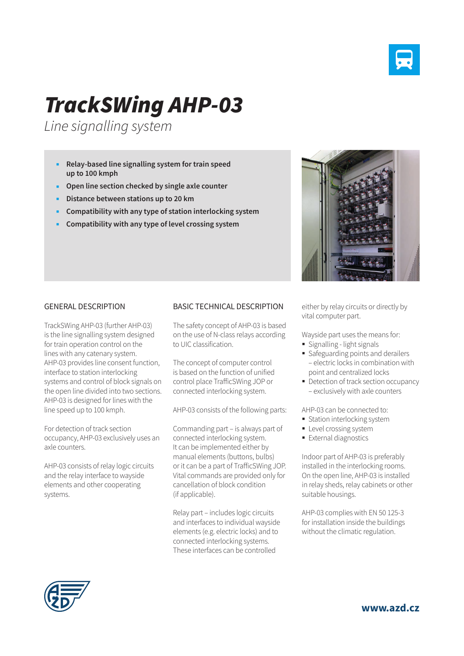

## *TrackSWing AHP-03*

*Line signalling system*

- **Relay-based line signalling system for train speed up to 100 kmph**
- **Open line section checked by single axle counter**
- **Distance between stations up to 20 km**
- **Compatibility with any type of station interlocking system**
- **Compatibility with any type of level crossing system**



## GENERAL DESCRIPTION

TrackSWing AHP-03 (further AHP-03) is the line signalling system designed for train operation control on the lines with any catenary system. AHP-03 provides line consent function, interface to station interlocking systems and control of block signals on the open line divided into two sections. AHP-03 is designed for lines with the line speed up to 100 kmph.

For detection of track section occupancy, AHP-03 exclusively uses an axle counters.

AHP-03 consists of relay logic circuits and the relay interface to wayside elements and other cooperating systems.

## BASIC TECHNICAL DESCRIPTION

The safety concept of AHP-03 is based on the use of N-class relays according to UIC classification.

The concept of computer control is based on the function of unified control place TrafficSWing JOP or connected interlocking system.

AHP-03 consists of the following parts:

Commanding part – is always part of connected interlocking system. It can be implemented either by manual elements (buttons, bulbs) or it can be a part of TrafficSWing JOP. Vital commands are provided only for cancellation of block condition (if applicable).

Relay part – includes logic circuits and interfaces to individual wayside elements (e.g. electric locks) and to connected interlocking systems. These interfaces can be controlled

either by relay circuits or directly by vital computer part.

Wayside part uses the means for:

- Signalling light signals
- **Safeguarding points and derailers** – electric locks in combination with point and centralized locks
- Detection of track section occupancy – exclusively with axle counters

AHP-03 can be connected to:

- **Station interlocking system**
- **Level crossing system**
- **External diagnostics**

Indoor part of AHP-03 is preferably installed in the interlocking rooms. On the open line, AHP-03 is installed in relay sheds, relay cabinets or other suitable housings.

AHP-03 complies with EN 50 125-3 for installation inside the buildings without the climatic regulation.



**www.azd.cz**